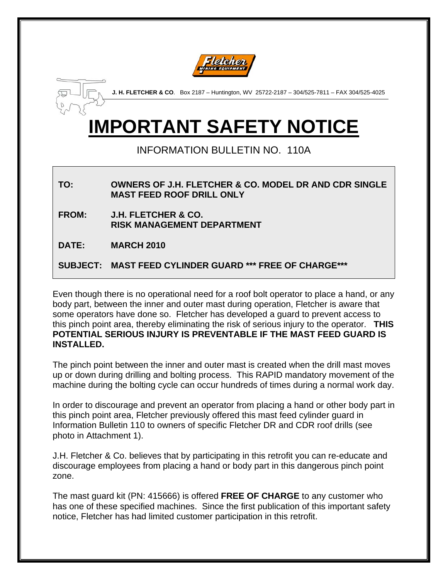



**J. H. FLETCHER & CO**. Box 2187 – Huntington, WV 25722-2187 – 304/525-7811 – FAX 304/525-4025

# **IMPORTANT SAFETY NOTICE**

### INFORMATION BULLETIN NO. 110A

## **TO: OWNERS OF J.H. FLETCHER & CO. MODEL DR AND CDR SINGLE MAST FEED ROOF DRILL ONLY**

- **FROM: J.H. FLETCHER & CO. RISK MANAGEMENT DEPARTMENT**
- **DATE: MARCH 2010**

#### **SUBJECT: MAST FEED CYLINDER GUARD \*\*\* FREE OF CHARGE\*\*\***

Even though there is no operational need for a roof bolt operator to place a hand, or any body part, between the inner and outer mast during operation, Fletcher is aware that some operators have done so. Fletcher has developed a guard to prevent access to this pinch point area, thereby eliminating the risk of serious injury to the operator. **THIS POTENTIAL SERIOUS INJURY IS PREVENTABLE IF THE MAST FEED GUARD IS INSTALLED.**

The pinch point between the inner and outer mast is created when the drill mast moves up or down during drilling and bolting process. This RAPID mandatory movement of the machine during the bolting cycle can occur hundreds of times during a normal work day.

In order to discourage and prevent an operator from placing a hand or other body part in this pinch point area, Fletcher previously offered this mast feed cylinder guard in Information Bulletin 110 to owners of specific Fletcher DR and CDR roof drills (see photo in Attachment 1).

J.H. Fletcher & Co. believes that by participating in this retrofit you can re-educate and discourage employees from placing a hand or body part in this dangerous pinch point zone.

The mast guard kit (PN: 415666) is offered **FREE OF CHARGE** to any customer who has one of these specified machines. Since the first publication of this important safety notice, Fletcher has had limited customer participation in this retrofit.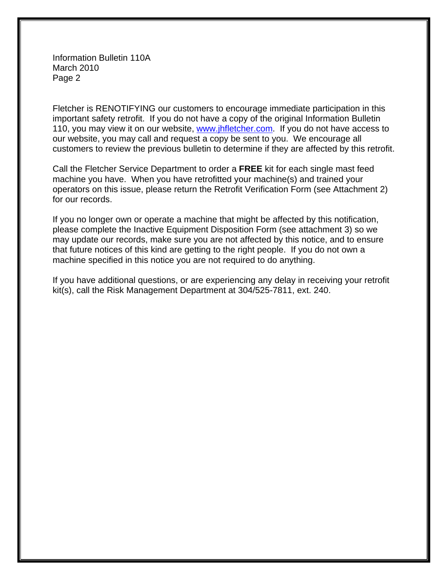Information Bulletin 110A March 2010 Page 2

Fletcher is RENOTIFYING our customers to encourage immediate participation in this important safety retrofit. If you do not have a copy of the original Information Bulletin 110, you may view it on our website, www.jhfletcher.com. If you do not have access to our website, you may call and request a copy be sent to you. We encourage all customers to review the previous bulletin to determine if they are affected by this retrofit.

Call the Fletcher Service Department to order a **FREE** kit for each single mast feed machine you have. When you have retrofitted your machine(s) and trained your operators on this issue, please return the Retrofit Verification Form (see Attachment 2) for our records.

If you no longer own or operate a machine that might be affected by this notification, please complete the Inactive Equipment Disposition Form (see attachment 3) so we may update our records, make sure you are not affected by this notice, and to ensure that future notices of this kind are getting to the right people. If you do not own a machine specified in this notice you are not required to do anything.

If you have additional questions, or are experiencing any delay in receiving your retrofit kit(s), call the Risk Management Department at 304/525-7811, ext. 240.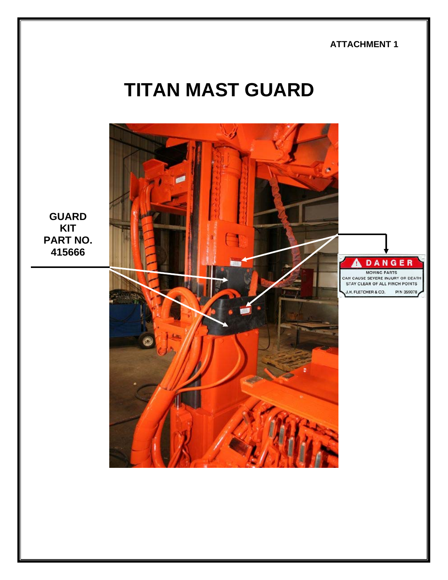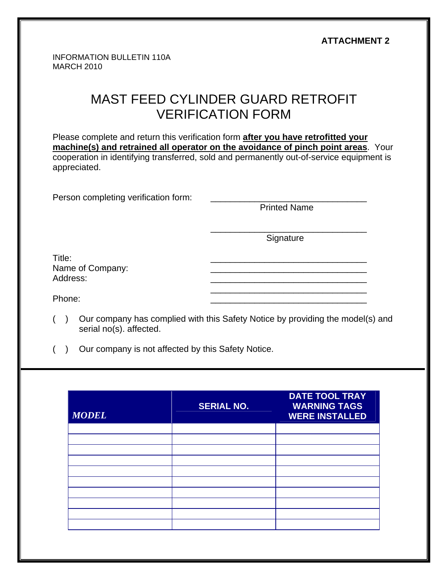|                                                                                                                                                                                                                                                                                    |                                                       | <b>ATTACHMENT 2</b>                                                            |  |  |
|------------------------------------------------------------------------------------------------------------------------------------------------------------------------------------------------------------------------------------------------------------------------------------|-------------------------------------------------------|--------------------------------------------------------------------------------|--|--|
|                                                                                                                                                                                                                                                                                    | <b>INFORMATION BULLETIN 110A</b><br><b>MARCH 2010</b> |                                                                                |  |  |
|                                                                                                                                                                                                                                                                                    |                                                       | MAST FEED CYLINDER GUARD RETROFIT<br><b>VERIFICATION FORM</b>                  |  |  |
| Please complete and return this verification form after you have retrofitted your<br>machine(s) and retrained all operator on the avoidance of pinch point areas. Your<br>cooperation in identifying transferred, sold and permanently out-of-service equipment is<br>appreciated. |                                                       |                                                                                |  |  |
|                                                                                                                                                                                                                                                                                    | Person completing verification form:                  | <b>Printed Name</b>                                                            |  |  |
|                                                                                                                                                                                                                                                                                    |                                                       | Signature                                                                      |  |  |
| Title:<br>Address:                                                                                                                                                                                                                                                                 | Name of Company:                                      |                                                                                |  |  |
| Phone:                                                                                                                                                                                                                                                                             |                                                       |                                                                                |  |  |
| $\lambda$                                                                                                                                                                                                                                                                          | serial no(s). affected.                               | Our company has complied with this Safety Notice by providing the model(s) and |  |  |

( ) Our company is not affected by this Safety Notice.

| <b>MODEL</b> | <b>SERIAL NO.</b> | <b>DATE TOOL TRAY</b><br><b>WARNING TAGS</b><br><b>WERE INSTALLED</b> |
|--------------|-------------------|-----------------------------------------------------------------------|
|              |                   |                                                                       |
|              |                   |                                                                       |
|              |                   |                                                                       |
|              |                   |                                                                       |
|              |                   |                                                                       |
|              |                   |                                                                       |
|              |                   |                                                                       |
|              |                   |                                                                       |
|              |                   |                                                                       |
|              |                   |                                                                       |